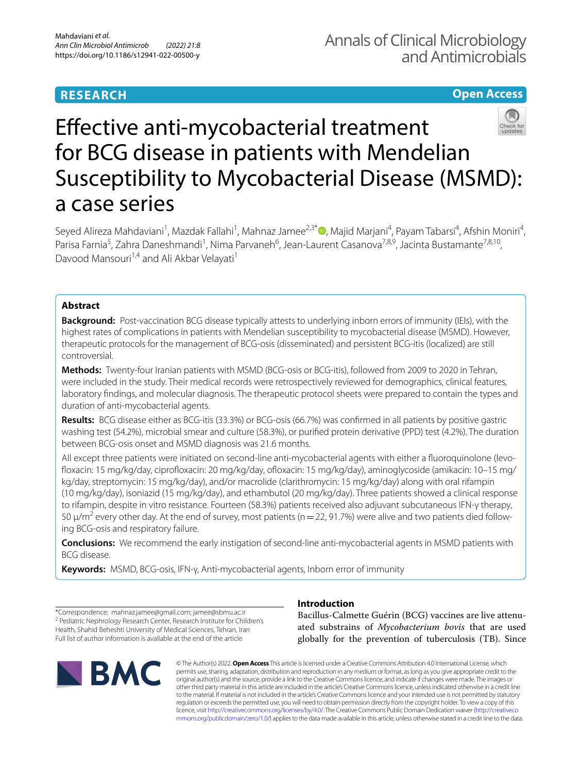## **RESEARCH**

## **Open Access**



## Efective anti-mycobacterial treatment for BCG disease in patients with Mendelian Susceptibility to Mycobacterial Disease (MSMD): a case series

Seyed Alireza Mahdaviani<sup>1</sup>[,](http://orcid.org/0000-0002-0732-9170) Mazdak Fallahi<sup>1</sup>, Mahnaz Jamee<sup>2,3\*</sup> , Majid Marjani<sup>4</sup>, Payam Tabarsi<sup>4</sup>, Afshin Moniri<sup>4</sup>, Parisa Farnia<sup>5</sup>, Zahra Daneshmandi<sup>1</sup>, Nima Parvaneh<sup>6</sup>, Jean-Laurent Casanova<sup>7,8,9</sup>, Jacinta Bustamante<sup>7,8,10</sup>, Davood Mansouri<sup>1,4</sup> and Ali Akbar Velayati<sup>1</sup>

### **Abstract**

**Background:** Post-vaccination BCG disease typically attests to underlying inborn errors of immunity (IEIs), with the highest rates of complications in patients with Mendelian susceptibility to mycobacterial disease (MSMD). However, therapeutic protocols for the management of BCG-osis (disseminated) and persistent BCG-itis (localized) are still controversial.

**Methods:** Twenty-four Iranian patients with MSMD (BCG-osis or BCG-itis), followed from 2009 to 2020 in Tehran, were included in the study. Their medical records were retrospectively reviewed for demographics, clinical features, laboratory fndings, and molecular diagnosis. The therapeutic protocol sheets were prepared to contain the types and duration of anti-mycobacterial agents.

**Results:** BCG disease either as BCG-itis (33.3%) or BCG-osis (66.7%) was confrmed in all patients by positive gastric washing test (54.2%), microbial smear and culture (58.3%), or purifed protein derivative (PPD) test (4.2%). The duration between BCG-osis onset and MSMD diagnosis was 21.6 months.

All except three patients were initiated on second-line anti-mycobacterial agents with either a fluoroquinolone (levofoxacin: 15 mg/kg/day, ciprofoxacin: 20 mg/kg/day, ofoxacin: 15 mg/kg/day), aminoglycoside (amikacin: 10–15 mg/ kg/day, streptomycin: 15 mg/kg/day), and/or macrolide (clarithromycin: 15 mg/kg/day) along with oral rifampin (10 mg/kg/day), isoniazid (15 mg/kg/day), and ethambutol (20 mg/kg/day). Three patients showed a clinical response to rifampin, despite in vitro resistance. Fourteen (58.3%) patients received also adjuvant subcutaneous IFN-γ therapy, 50  $\mu/m^2$  every other day. At the end of survey, most patients (n = 22, 91.7%) were alive and two patients died following BCG-osis and respiratory failure.

**Conclusions:** We recommend the early instigation of second-line anti-mycobacterial agents in MSMD patients with BCG disease.

**Keywords:** MSMD, BCG-osis, IFN-γ, Anti-mycobacterial agents, Inborn error of immunity

\*Correspondence: mahnaz.jamee@gmail.com; jamee@sbmu.ac.ir <sup>2</sup> Pediatric Nephrology Research Center, Research Institute for Children's Health, Shahid Beheshti University of Medical Sciences, Tehran, Iran Full list of author information is available at the end of the article

# **IBMC**

## **Introduction**

Bacillus-Calmette Guérin (BCG) vaccines are live attenuated substrains of *Mycobacterium bovis* that are used globally for the prevention of tuberculosis (TB). Since

© The Author(s) 2022. **Open Access** This article is licensed under a Creative Commons Attribution 4.0 International License, which permits use, sharing, adaptation, distribution and reproduction in any medium or format, as long as you give appropriate credit to the original author(s) and the source, provide a link to the Creative Commons licence, and indicate if changes were made. The images or other third party material in this article are included in the article's Creative Commons licence, unless indicated otherwise in a credit line to the material. If material is not included in the article's Creative Commons licence and your intended use is not permitted by statutory regulation or exceeds the permitted use, you will need to obtain permission directly from the copyright holder. To view a copy of this licence, visit [http://creativecommons.org/licenses/by/4.0/.](http://creativecommons.org/licenses/by/4.0/) The Creative Commons Public Domain Dedication waiver ([http://creativeco](http://creativecommons.org/publicdomain/zero/1.0/) [mmons.org/publicdomain/zero/1.0/](http://creativecommons.org/publicdomain/zero/1.0/)) applies to the data made available in this article, unless otherwise stated in a credit line to the data.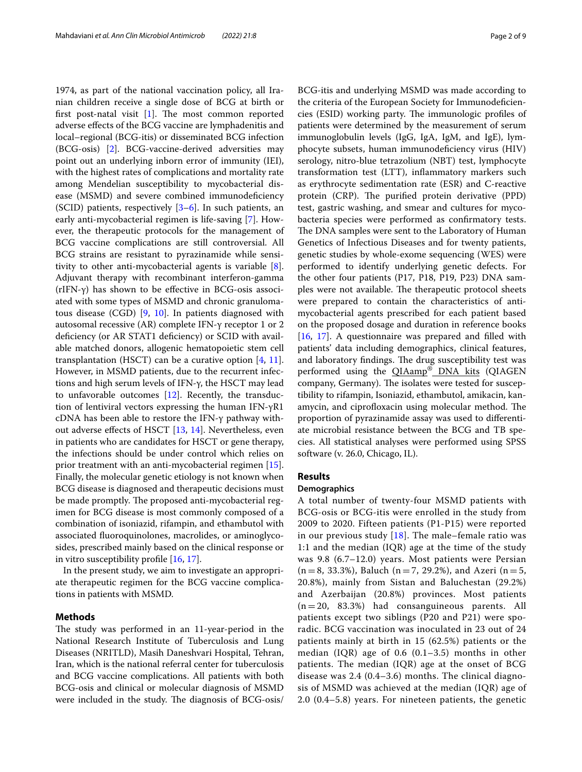1974, as part of the national vaccination policy, all Iranian children receive a single dose of BCG at birth or first post-natal visit  $[1]$  $[1]$ . The most common reported adverse efects of the BCG vaccine are lymphadenitis and local–regional (BCG-itis) or disseminated BCG infection (BCG-osis) [\[2\]](#page-7-1). BCG-vaccine-derived adversities may point out an underlying inborn error of immunity (IEI), with the highest rates of complications and mortality rate among Mendelian susceptibility to mycobacterial disease (MSMD) and severe combined immunodeficiency (SCID) patients, respectively [[3–](#page-7-2)[6\]](#page-7-3). In such patients, an early anti-mycobacterial regimen is life-saving [[7\]](#page-7-4). However, the therapeutic protocols for the management of BCG vaccine complications are still controversial. All BCG strains are resistant to pyrazinamide while sensitivity to other anti-mycobacterial agents is variable [\[8](#page-7-5)]. Adjuvant therapy with recombinant interferon-gamma (rIFN- $\gamma$ ) has shown to be effective in BCG-osis associated with some types of MSMD and chronic granulomatous disease (CGD) [[9](#page-7-6), [10\]](#page-7-7). In patients diagnosed with autosomal recessive (AR) complete IFN-γ receptor 1 or 2 deficiency (or AR STAT1 deficiency) or SCID with available matched donors, allogenic hematopoietic stem cell transplantation (HSCT) can be a curative option  $[4, 11]$  $[4, 11]$  $[4, 11]$  $[4, 11]$ . However, in MSMD patients, due to the recurrent infections and high serum levels of IFN-γ, the HSCT may lead to unfavorable outcomes [\[12\]](#page-7-10). Recently, the transduction of lentiviral vectors expressing the human IFN-γR1 cDNA has been able to restore the IFN-γ pathway with-out adverse effects of HSCT [\[13,](#page-8-0) [14\]](#page-8-1). Nevertheless, even in patients who are candidates for HSCT or gene therapy, the infections should be under control which relies on prior treatment with an anti-mycobacterial regimen [\[15](#page-8-2)]. Finally, the molecular genetic etiology is not known when BCG disease is diagnosed and therapeutic decisions must be made promptly. The proposed anti-mycobacterial regimen for BCG disease is most commonly composed of a combination of isoniazid, rifampin, and ethambutol with associated fuoroquinolones, macrolides, or aminoglycosides, prescribed mainly based on the clinical response or in vitro susceptibility profle [[16,](#page-8-3) [17](#page-8-4)].

In the present study, we aim to investigate an appropriate therapeutic regimen for the BCG vaccine complications in patients with MSMD.

#### **Methods**

The study was performed in an 11-year-period in the National Research Institute of Tuberculosis and Lung Diseases (NRITLD), Masih Daneshvari Hospital, Tehran, Iran, which is the national referral center for tuberculosis and BCG vaccine complications. All patients with both BCG-osis and clinical or molecular diagnosis of MSMD were included in the study. The diagnosis of BCG-osis/

BCG-itis and underlying MSMD was made according to

the criteria of the European Society for Immunodefciencies (ESID) working party. The immunologic profiles of patients were determined by the measurement of serum immunoglobulin levels (IgG, IgA, IgM, and IgE), lymphocyte subsets, human immunodefciency virus (HIV) serology, nitro-blue tetrazolium (NBT) test, lymphocyte transformation test (LTT), infammatory markers such as erythrocyte sedimentation rate (ESR) and C-reactive protein (CRP). The purified protein derivative (PPD) test, gastric washing, and smear and cultures for mycobacteria species were performed as confrmatory tests. The DNA samples were sent to the Laboratory of Human Genetics of Infectious Diseases and for twenty patients, genetic studies by whole-exome sequencing (WES) were performed to identify underlying genetic defects. For the other four patients (P17, P18, P19, P23) DNA samples were not available. The therapeutic protocol sheets were prepared to contain the characteristics of antimycobacterial agents prescribed for each patient based on the proposed dosage and duration in reference books [[16,](#page-8-3) [17](#page-8-4)]. A questionnaire was prepared and flled with patients' data including demographics, clinical features, and laboratory findings. The drug susceptibility test was performed using the QIAamp® DNA kits (QIAGEN company, Germany). The isolates were tested for susceptibility to rifampin, Isoniazid, ethambutol, amikacin, kanamycin, and ciprofloxacin using molecular method. The proportion of pyrazinamide assay was used to diferentiate microbial resistance between the BCG and TB species. All statistical analyses were performed using SPSS software (v. 26.0, Chicago, IL).

#### **Results**

#### **Demographics**

A total number of twenty-four MSMD patients with BCG-osis or BCG-itis were enrolled in the study from 2009 to 2020. Fifteen patients (P1-P15) were reported in our previous study  $[18]$  $[18]$  $[18]$ . The male–female ratio was 1:1 and the median (IQR) age at the time of the study was 9.8 (6.7–12.0) years. Most patients were Persian  $(n = 8, 33.3\%)$ , Baluch  $(n = 7, 29.2\%)$ , and Azeri  $(n = 5, 10.5\%)$ 20.8%), mainly from Sistan and Baluchestan (29.2%) and Azerbaijan (20.8%) provinces. Most patients  $(n = 20, 83.3%)$  had consanguineous parents. All patients except two siblings (P20 and P21) were sporadic. BCG vaccination was inoculated in 23 out of 24 patients mainly at birth in 15 (62.5%) patients or the median (IQR) age of 0.6 (0.1–3.5) months in other patients. The median (IQR) age at the onset of BCG disease was 2.4 (0.4–3.6) months. The clinical diagnosis of MSMD was achieved at the median (IQR) age of 2.0 (0.4–5.8) years. For nineteen patients, the genetic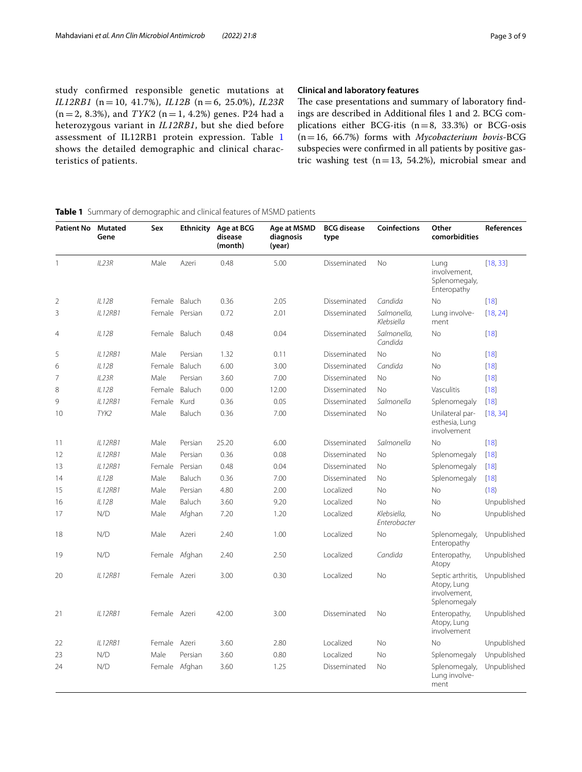study confirmed responsible genetic mutations at *IL12RB1* (n = 10, 41.7%), *IL12B* (n = 6, 25.0%), *IL23R*  $(n = 2, 8.3\%)$ , and *TYK2*  $(n = 1, 4.2\%)$  genes. P24 had a heterozygous variant in *IL12RB1*, but she died before assessment of IL12RB1 protein expression. Table [1](#page-2-0) shows the detailed demographic and clinical characteristics of patients.

#### **Clinical and laboratory features**

The case presentations and summary of laboratory findings are described in Additional fles 1 and 2. BCG complications either BCG-itis  $(n=8, 33.3%)$  or BCG-osis (n=16, 66.7%) forms with *Mycobacterium bovis-*BCG subspecies were confrmed in all patients by positive gastric washing test  $(n=13, 54.2%)$ , microbial smear and

#### **Patient No Mutated Gene Sex Ethnicity Age at BCG disease (month) Age at MSMD diagnosis (year) BCG disease type Coinfections Other comorbidities References** 1 *IL23R* Male Azeri 0.48 5.00 Disseminated No Lung involvement, Splenomegaly, Enteropathy [[18,](#page-8-5) [33\]](#page-8-6) 2 *IL12B* Female Baluch 0.36 2.05 Disseminated *Candida* No [[18\]](#page-8-5) 3 *IL12RB1* Female Persian 0.72 2.01 Disseminated *Salmonella, Klebsiella* Lung involvement [[18,](#page-8-5) [24\]](#page-8-7) 4 *IL12B* Female Baluch 0.48 0.04 Disseminated *Salmonella, Candida* No [[18\]](#page-8-5) 5 *IL12RB1* Male Persian 1.32 0.11 Disseminated No No [[18\]](#page-8-5) 6 *IL12B* Female Baluch 6.00 3.00 Disseminated *Candida* No [[18\]](#page-8-5) 7 *IL23R* Male Persian 3.60 7.00 Disseminated No No [[18\]](#page-8-5) 8 *IL12B* Female Baluch 0.00 12.00 Disseminated No Vasculitis [[18\]](#page-8-5) 9 *IL12RB1* Female Kurd 0.36 0.05 Disseminated *Salmonella* Splenomegaly [[18\]](#page-8-5) 10 *TYK2* Male Baluch 0.36 7.00 Disseminated No Unilateral par‑ esthesia, Lung involvement [[18,](#page-8-5) [34\]](#page-8-8) 11 *IL12RB1* Male Persian 25.20 6.00 Disseminated *Salmonella* No [[18\]](#page-8-5) 12 *IL12RB1* Male Persian 0.36 0.08 Disseminated No Splenomegaly [[18\]](#page-8-5) 13 *IL12RB1* Female Persian 0.48 0.04 Disseminated No Splenomegaly [[18\]](#page-8-5) 14 *IL12B* Male Baluch 0.36 7.00 Disseminated No Splenomegaly [[18\]](#page-8-5) 15 *IL12RB1* Male Persian 4.80 2.00 Localized No No ([18\)](#page-8-5) 16 *IL12B* Male Baluch 3.60 9.20 Localized No No Unpublished 17 N/D Male Afghan 7.20 1.20 Localized *Klebsiella, Enterobacter* No Unpublished 18 N/D Male Azeri 2.40 1.00 Localized No Splenomegaly, Enteropathy Unpublished 19 N/D Female Afghan 2.40 2.50 Localized *Candida* Enteropathy, Atopy Unpublished 20 *IL12RB1* Female Azeri 3.00 0.30 Localized No Septic arthritis, Atopy, Lung involvement, Splenomegaly Unpublished 21 *IL12RB1* Female Azeri 42.00 3.00 Disseminated No Enteropathy, Atopy, Lung involvement Unpublished 22 *IL12RB1* Female Azeri 3.60 2.80 Localized No No Unpublished 23 N/D Male Persian 3.60 0.80 Localized No Splenomegaly Unpublished 24 N/D Female Afghan 3.60 1.25 Disseminated No Splenomegaly, Lung involve‑ ment Unpublished

#### <span id="page-2-0"></span>**Table 1** Summary of demographic and clinical features of MSMD patients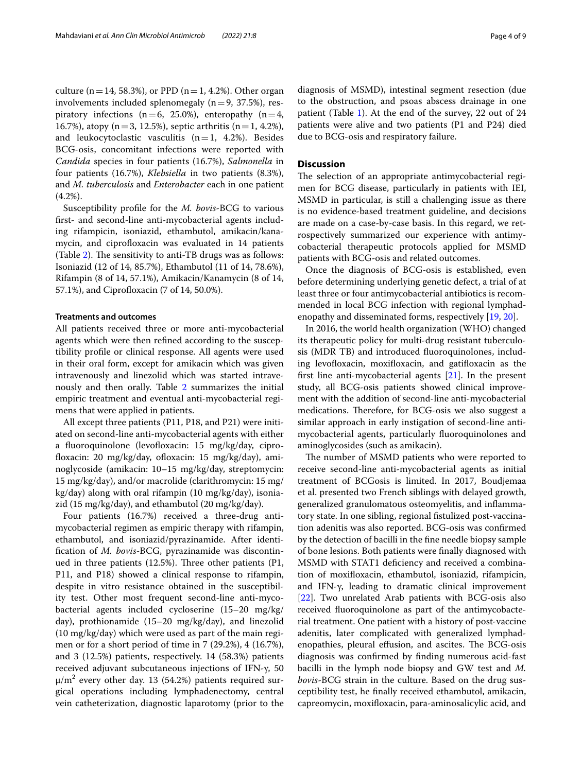culture ( $n=14$ , 58.3%), or PPD ( $n=1, 4.2$ %). Other organ involvements included splenomegaly  $(n=9, 37.5\%)$ , respiratory infections ( $n=6$ , 25.0%), enteropathy ( $n=4$ , 16.7%), atopy (n=3, 12.5%), septic arthritis (n=1, 4.2%), and leukocytoclastic vasculitis  $(n=1, 4.2\%)$ . Besides BCG-osis, concomitant infections were reported with *Candida* species in four patients (16.7%), *Salmonella* in four patients (16.7%), *Klebsiella* in two patients (8.3%), and *M. tuberculosis* and *Enterobacter* each in one patient  $(4.2\%)$ .

Susceptibility profle for the *M. bovis-*BCG to various frst- and second-line anti-mycobacterial agents including rifampicin, isoniazid, ethambutol, amikacin/kanamycin, and ciprofloxacin was evaluated in 14 patients (Table  $2$ ). The sensitivity to anti-TB drugs was as follows: Isoniazid (12 of 14, 85.7%), Ethambutol (11 of 14, 78.6%), Rifampin (8 of 14, 57.1%), Amikacin/Kanamycin (8 of 14, 57.1%), and Ciprofloxacin (7 of 14, 50.0%).

#### **Treatments and outcomes**

All patients received three or more anti-mycobacterial agents which were then refned according to the susceptibility profle or clinical response. All agents were used in their oral form, except for amikacin which was given intravenously and linezolid which was started intravenously and then orally. Table [2](#page-4-0) summarizes the initial empiric treatment and eventual anti-mycobacterial regimens that were applied in patients.

All except three patients (P11, P18, and P21) were initiated on second-line anti-mycobacterial agents with either a fluoroquinolone (levofloxacin: 15 mg/kg/day, ciprofloxacin: 20 mg/kg/day, ofloxacin: 15 mg/kg/day), aminoglycoside (amikacin: 10–15 mg/kg/day, streptomycin: 15 mg/kg/day), and/or macrolide (clarithromycin: 15 mg/ kg/day) along with oral rifampin (10 mg/kg/day), isoniazid (15 mg/kg/day), and ethambutol (20 mg/kg/day).

Four patients (16.7%) received a three-drug antimycobacterial regimen as empiric therapy with rifampin, ethambutol, and isoniazid/pyrazinamide. After identifcation of *M. bovis*-BCG, pyrazinamide was discontinued in three patients  $(12.5\%)$ . Three other patients  $(P1, P2)$ P11, and P18) showed a clinical response to rifampin, despite in vitro resistance obtained in the susceptibility test. Other most frequent second-line anti-mycobacterial agents included cycloserine (15–20 mg/kg/ day), prothionamide (15–20 mg/kg/day), and linezolid (10 mg/kg/day) which were used as part of the main regimen or for a short period of time in 7 (29.2%), 4 (16.7%), and 3 (12.5%) patients, respectively. 14 (58.3%) patients received adjuvant subcutaneous injections of IFN-γ, 50  $\mu/m^2$  every other day. 13 (54.2%) patients required surgical operations including lymphadenectomy, central vein catheterization, diagnostic laparotomy (prior to the

diagnosis of MSMD), intestinal segment resection (due to the obstruction, and psoas abscess drainage in one patient (Table [1\)](#page-2-0). At the end of the survey, 22 out of 24 patients were alive and two patients (P1 and P24) died due to BCG-osis and respiratory failure.

#### **Discussion**

The selection of an appropriate antimycobacterial regimen for BCG disease, particularly in patients with IEI, MSMD in particular, is still a challenging issue as there is no evidence-based treatment guideline, and decisions are made on a case-by-case basis. In this regard, we retrospectively summarized our experience with antimycobacterial therapeutic protocols applied for MSMD patients with BCG-osis and related outcomes.

Once the diagnosis of BCG-osis is established, even before determining underlying genetic defect, a trial of at least three or four antimycobacterial antibiotics is recommended in local BCG infection with regional lymphadenopathy and disseminated forms, respectively [[19,](#page-8-9) [20](#page-8-10)].

In 2016, the world health organization (WHO) changed its therapeutic policy for multi-drug resistant tuberculosis (MDR TB) and introduced fuoroquinolones, including levofoxacin, moxifoxacin, and gatifoxacin as the frst line anti-mycobacterial agents [[21\]](#page-8-11). In the present study, all BCG-osis patients showed clinical improvement with the addition of second-line anti-mycobacterial medications. Therefore, for BCG-osis we also suggest a similar approach in early instigation of second-line antimycobacterial agents, particularly fuoroquinolones and aminoglycosides (such as amikacin).

The number of MSMD patients who were reported to receive second-line anti-mycobacterial agents as initial treatment of BCGosis is limited. In 2017, Boudjemaa et al. presented two French siblings with delayed growth, generalized granulomatous osteomyelitis, and infammatory state. In one sibling, regional fstulized post-vaccination adenitis was also reported. BCG-osis was confrmed by the detection of bacilli in the fne needle biopsy sample of bone lesions. Both patients were fnally diagnosed with MSMD with STAT1 defciency and received a combination of moxifoxacin, ethambutol, isoniazid, rifampicin, and IFN-γ, leading to dramatic clinical improvement [[22\]](#page-8-12). Two unrelated Arab patients with BCG-osis also received fuoroquinolone as part of the antimycobacterial treatment. One patient with a history of post-vaccine adenitis, later complicated with generalized lymphadenopathies, pleural effusion, and ascites. The BCG-osis diagnosis was confrmed by fnding numerous acid-fast bacilli in the lymph node biopsy and GW test and *M. bovis*-BCG strain in the culture. Based on the drug susceptibility test, he fnally received ethambutol, amikacin, capreomycin, moxifoxacin, para-aminosalicylic acid, and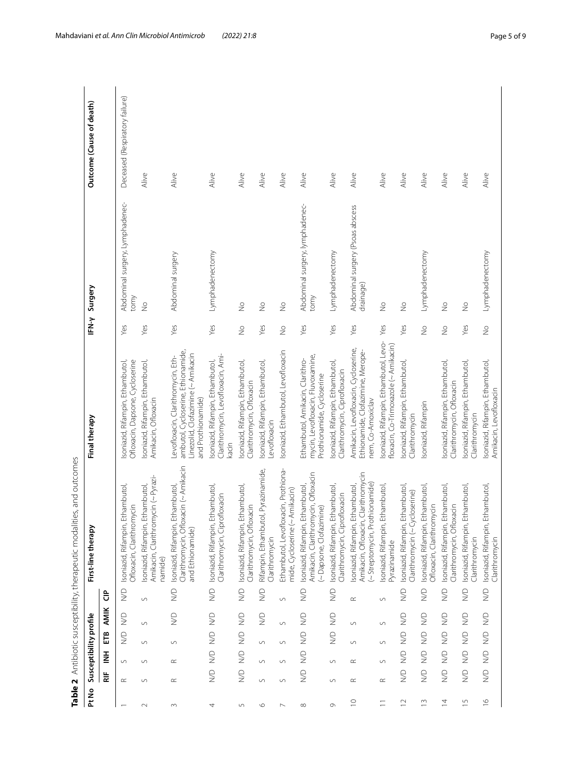|                |                                                                 |                                 |                                |                       |                            | ties, and outcomes<br>Table 2 Antibiotic susceptibility, therapeutic modali                                  |                                                                                                                                      |                          |                                               |                                |
|----------------|-----------------------------------------------------------------|---------------------------------|--------------------------------|-----------------------|----------------------------|--------------------------------------------------------------------------------------------------------------|--------------------------------------------------------------------------------------------------------------------------------------|--------------------------|-----------------------------------------------|--------------------------------|
| Pt No          |                                                                 |                                 | Susceptibility profile         |                       |                            | First-line therapy                                                                                           | Final therapy                                                                                                                        | IFN-Y                    | Surgery                                       | Outcome (Cause of death)       |
|                | 늝                                                               | Ξ                               | Ë                              | <b>AMIK</b>           | ទិ                         |                                                                                                              |                                                                                                                                      |                          |                                               |                                |
|                | $\simeq$                                                        | $\cup$                          | $\frac{1}{2}$                  | $\sum_{i=1}^{n}$      | $\frac{1}{2}$              | Ethambutol,<br>Ofloxacin, Clarithromycin<br>Isoniazid, Rifampin,                                             | Ofloxacin, Dapsone, Cycloserine<br>Isoniazid, Rifampin, Ethambutol,                                                                  | Yes                      | Abdominal surgery, Lymphadenec-<br>tony       | Deceased (Respiratory failure) |
|                | $\circ$                                                         | $\cup$                          | $\cup$                         | $\cup$                | $\circ$                    | Amikacin, Clarithromycin (~ Pyrazi-<br>Ethambutol,<br>Isoniazid, Rifampin,<br>namide)                        | Isoniazid, Rifampin, Ethambutol,<br>Amikacin, Ofloxacin                                                                              | Yes                      | $\frac{1}{2}$                                 | Alive                          |
|                | $\simeq$                                                        | $\simeq$                        | $\circ$                        | $\frac{1}{2}$         | $\frac{1}{2}$              | oxacin (~ Amikacin<br>Ethambutol<br>Isoniazid, Rifampin,<br>Clarithromycin, Ofl<br>and Ethionamide)          | ambutol, Cycloserine, Ethionamide,<br>Linezolid, Clofazimine (~ Amikacin<br>Levofloxacin, Clarithromycin, Eth-<br>and Prothionamide) | Yes                      | Abdominal surgery                             | Alive                          |
|                | $\frac{1}{2}$                                                   | $\mathrel{\textstyle\geq}$      | $\frac{1}{2}$                  | $\sum_{i=1}^{n}$      | $\mathrel{\textstyle\geq}$ | Ethambutol,<br>Clarithromycin, Ciprofloxacin<br>Isoniazid, Rifampin,                                         | Clarithromycin, Levofloxacin, Ami-<br>Isoniazid, Rifampin, Ethambutol,<br>kacin                                                      | Yes                      | Lymphadenectomy                               | Alive                          |
| LO             | $\mathrel{\textstyle\supseteq}$                                 | $\mathrel{\mathop{\supseteq}}$  | $\mathrel{\mathop{\supseteq}}$ | $\bigcirc$            | $\mathrel{\supseteq}$      | Ethambutol,<br>Clarithromycin, Ofloxacin<br>Isoniazid, Rifampin,                                             | soniazid, Rifampin, Ethambutol,<br>Clarithromycin, Ofloxacin                                                                         | $\frac{1}{2}$            | $\frac{1}{2}$                                 | Alive                          |
| $\circ$        | $\backsim$                                                      | $\cup$                          | $\backsim$                     | $\mathrel{\supseteq}$ | $\frac{1}{2}$              | Rifampin, Ethambutol, Pyrazinamide,<br>Clarithromycin                                                        | Isoniazid, Rifampin, Ethambutol,<br>evofloxacin                                                                                      | Yes                      | $\stackrel{\circ}{\geq}$                      | Alive                          |
|                | $\circ$                                                         | $\cup$                          | $\cup$                         | $\circ$               | $\circ$                    | oxacin, Prothiona-<br>$~\sim$ Amikacin)<br>mide, Cycloserine (<br>Ethambutol, Levofl                         | Isoniazid, Ethambutol, Levofloxacin                                                                                                  | $\frac{\circ}{\sim}$     | $\frac{1}{2}$                                 | Alive                          |
| $\infty$       | $\frac{1}{2}$                                                   | $\bigotimes$                    | $\frac{1}{2}$                  | $\gtrapprox$          | $\sum_{i=1}^{n}$           | Amikacin, Clarithromycin, Ofloxacin<br><b>Ethambutol</b><br>Dapsone, Clofazimine)<br>Isoniazid, Rifampin,    | mycin, Levofloxacin, Fluvoxamine,<br>Ethambutol, Amikacin, Clarithro-<br>Prothionamide, Cycloserine                                  | Yes                      | Abdominal surgery, lymphadenec-<br>tomy       | Alive                          |
| $\sigma$       | $\cup$                                                          | S                               | $\frac{1}{2}$                  | $\sum_{i=1}^{n}$      | $\sum_{i=1}^{n}$           | Ethambutol,<br>Clarithromycin, Ciprofloxacin<br>Isoniazid, Rifampin,                                         | soniazid, Rifampin, Ethambutol,<br>Clarithromycin, Ciprofloxacin                                                                     | Yes                      | Lymphadenectomy                               | Alive                          |
| $\supseteq$    | $\simeq$                                                        | $\simeq$                        | $\circ$                        | $\backsim$            | $\simeq$                   | Amikacin, Ofloxacin, Clarithromycin<br>~ Streptomycin, Prothionamide)<br>Ethambutol,<br>Isoniazid, Rifampin, | Amikacin, Levofloxacin, Cycloserine,<br>Ethionamide, Clofazimine, Merope-<br>nem, Co-Amoxiclav                                       | Yes                      | Abdominal surgery (Psoas abscess<br>drainage) | Alive                          |
| Ξ              | $\simeq$                                                        | $\circ$                         | $\circ$                        | $\circ$               | $\circ$                    | Ethambutol,<br>Isoniazid, Rifampin,<br><b>Pyrazinamide</b>                                                   | soniazid, Rifampin, Ethambutol, Levo-<br>floxacin, Co-Trimoxazole (~ Amikacin)                                                       | Yes                      | $\frac{1}{2}$                                 | Alive                          |
| $\supseteq$    | $\frac{1}{2}$                                                   | $\frac{1}{2}$                   | $\bigotimes$                   | $\frac{1}{2}$         | $\frac{1}{2}$              | Ethambutol,<br>Clarithromycin (~Cycloserine)<br>Isoniazid, Rifampin,                                         | soniazid, Rifampin, Ethambutol,<br>Clarithromycin                                                                                    | Yes                      | $\frac{1}{2}$                                 | Alive                          |
| $\frac{3}{2}$  | $\mathrel{\mathop{\supseteq}}_{{\mathrel{\mathop{\supseteq}}}}$ | $\mathrel{\textstyle\supseteq}$ | $\mathrel{\mathop{\supseteq}}$ | $\frac{1}{2}$         | $\frac{1}{2}$              | Ethambutol,<br>Ofloxacin, Clarithromycin<br>Isoniazid, Rifampin,                                             | Isoniazid, Rifampin                                                                                                                  | $\frac{1}{2}$            | Lymphadenectomy                               | Alive                          |
| $\overline{4}$ | $\frac{1}{2}$                                                   | $\mathrel{\mathop{\supseteq}}$  | $\mathrel{\mathop{\supseteq}}$ | $\frac{1}{2}$         | $\frac{1}{2}$              | Ethambutol,<br>oxacin<br>Isoniazid, Rifampin,<br>Clarithromycin, Ofl                                         | Isoniazid, Rifampin, Ethambutol,<br>Clarithromycin, Ofloxacin                                                                        | $\stackrel{\circ}{\geq}$ | $\frac{1}{2}$                                 | Alive                          |
| $\overline{1}$ | $\geq$                                                          | $\frac{1}{2}$                   | $\frac{1}{2}$                  | $\frac{1}{2}$         | $\sum_{i=1}^{n}$           | Ethambutol,<br>Isoniazid, Rifampin,<br>Clarithromycin                                                        | Isoniazid, Rifampin, Ethambutol,<br>Clarithromycin                                                                                   | Yes                      | $\frac{1}{2}$                                 | Alive                          |
| $\circ$        | $\frac{1}{2}$                                                   | $\sum_{i=1}^{n}$                | $\bigotimes$                   | $\frac{1}{2}$         | $\frac{1}{2}$              | Ethambutol,<br>Isoniazid, Rifampin,<br>Clarithromycin                                                        | Isoniazid, Rifampin, Ethambutol,<br>Amikacin, Levofloxacin                                                                           | $\frac{1}{2}$            | Lymphadenectomy                               | Alive                          |

<span id="page-4-0"></span>Table 2 Antibiotic susceptibility, therapeutic modalities, and outcomes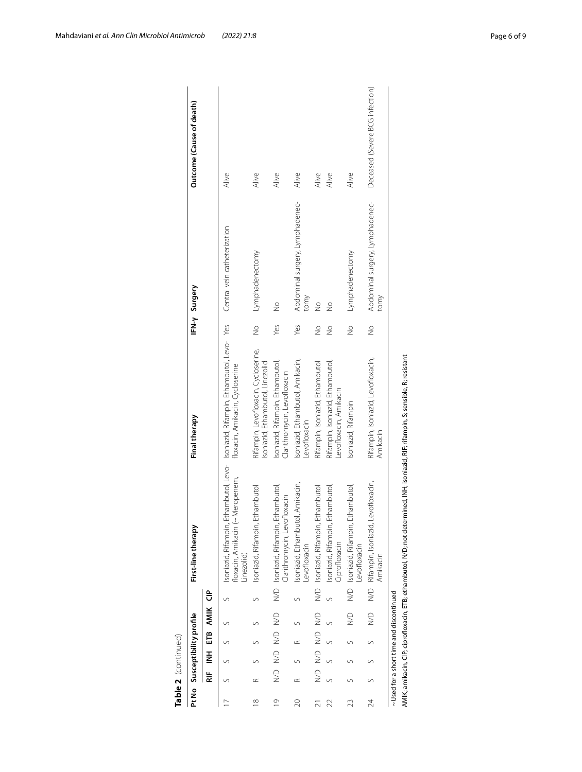|          |           |           | Pt No Susceptibility profile             | First-line therapy                                                                                                                 | Final therapy                                                                                                       |               | IFN-y Surgery                           | Outcome (Cause of death)        |
|----------|-----------|-----------|------------------------------------------|------------------------------------------------------------------------------------------------------------------------------------|---------------------------------------------------------------------------------------------------------------------|---------------|-----------------------------------------|---------------------------------|
|          | ₩         |           | INH ETB AMIK CIP                         |                                                                                                                                    |                                                                                                                     |               |                                         |                                 |
|          |           |           |                                          | (~ Meropenem,<br>floxacin, Amikacin<br>Linezolid)                                                                                  | Isoniazid, Rifampin, Ethambutol, Levo- Isoniazid, Rifampin, Ethambutol, Levo-Yes<br>floxacin, Amikacin, Cycloserine |               | Central vein catheterization            | Alive                           |
| $\infty$ | $\approx$ |           |                                          | Isoniazid, Rifampin, Ethambutol                                                                                                    | Rifampin, Levofloxacin, Cycloserine,<br>Isoniazid, Ethambutol, Linezolid                                            | $\frac{1}{2}$ | Lymphadenectomy                         | Alive                           |
| $\circ$  |           |           | ND ND ND ND                              | N/D Isoniazid, Rifampin, Ethambutol<br>Clarithromycin, Levofloxacin                                                                | Isoniazid, Rifampin, Ethambutol,<br>Clarithromycin, Levofloxacin                                                    | Yes           | $\frac{1}{2}$                           | Alive                           |
|          | $\approx$ | $\approx$ |                                          | Isoniazid, Ethambutol, Amikacin,<br>evofloxacin                                                                                    | Isoniazid, Ethambutol, Amikacin,<br>Levofloxacin                                                                    | Yes           | Abdominal surgery, Lymphadenec-<br>tomy | Alive                           |
|          |           |           | N/D N/D N/D N/D                          | N/D Isoniazid, Rifampin, Ethambutol                                                                                                | Rifampin, Isoniazid, Ethambutol                                                                                     | $\frac{1}{2}$ | $\frac{1}{2}$                           | Alive                           |
|          |           |           |                                          | Isoniazid, Rifampin, Ethambutol,<br>Ciprofloxacin                                                                                  | Rifampin, Isoniazid, Ethambutol,<br>evofloxacin, Amikacin                                                           | $\frac{1}{2}$ | $\frac{1}{2}$                           | Alive                           |
|          |           |           | $\supseteq$                              | N/D Isoniazid, Rifampin, Ethambutol,<br>evofloxacin                                                                                | Isoniazid, Rifampin                                                                                                 | $\frac{1}{2}$ | Lymphadenectomy                         | Alive                           |
| 24       |           |           | $\frac{1}{2}$                            | N/D Rifampin, Isoniazid, Levofloxacin,<br>Amikacin                                                                                 | Rifampin, Isoniazid, Levofloxacin,<br>Amikacin                                                                      | $\frac{1}{2}$ | Abdominal surgery, Lymphadenec-<br>tomy | Deceased (Severe BCG infection) |
|          |           |           | ~ Used for a short time and discontinued | AMIK; amikacin, CIP; ciprofloxacin, ETB; ethambutol, N/D; not determined, INH; isoniazid, RIF; rifampin, S; sensible, R; resistant |                                                                                                                     |               |                                         |                                 |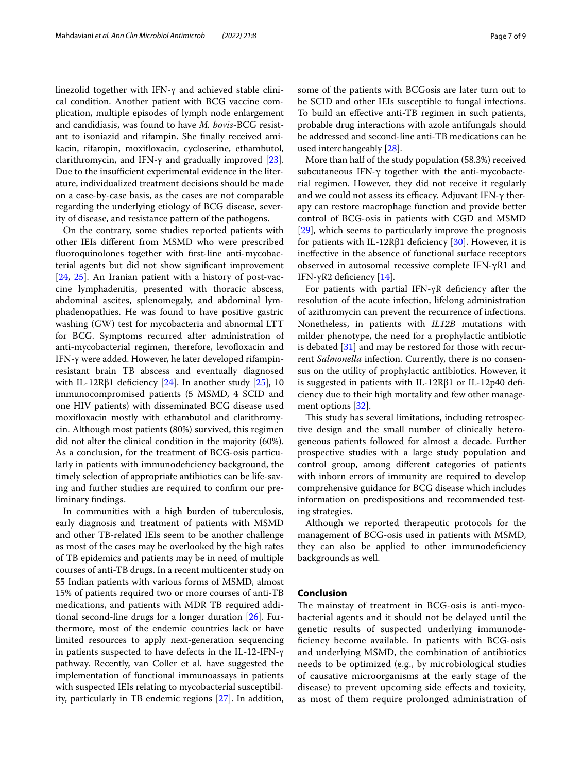linezolid together with IFN-γ and achieved stable clinical condition. Another patient with BCG vaccine complication, multiple episodes of lymph node enlargement and candidiasis, was found to have *M. bovis*-BCG resistant to isoniazid and rifampin. She fnally received amikacin, rifampin, moxifoxacin, cycloserine, ethambutol, clarithromycin, and IFN- $\gamma$  and gradually improved [\[23](#page-8-13)]. Due to the insufficient experimental evidence in the literature, individualized treatment decisions should be made on a case-by-case basis, as the cases are not comparable regarding the underlying etiology of BCG disease, severity of disease, and resistance pattern of the pathogens.

On the contrary, some studies reported patients with other IEIs diferent from MSMD who were prescribed fuoroquinolones together with frst-line anti-mycobacterial agents but did not show signifcant improvement [[24,](#page-8-7) [25\]](#page-8-14). An Iranian patient with a history of post-vaccine lymphadenitis, presented with thoracic abscess, abdominal ascites, splenomegaly, and abdominal lymphadenopathies. He was found to have positive gastric washing (GW) test for mycobacteria and abnormal LTT for BCG. Symptoms recurred after administration of anti-mycobacterial regimen, therefore, levofloxacin and IFN-γ were added. However, he later developed rifampinresistant brain TB abscess and eventually diagnosed with IL-12Rβ1 deficiency  $[24]$  $[24]$ . In another study  $[25]$ , 10 immunocompromised patients (5 MSMD, 4 SCID and one HIV patients) with disseminated BCG disease used moxifoxacin mostly with ethambutol and clarithromycin. Although most patients (80%) survived, this regimen did not alter the clinical condition in the majority (60%). As a conclusion, for the treatment of BCG-osis particularly in patients with immunodefciency background, the timely selection of appropriate antibiotics can be life-saving and further studies are required to confrm our preliminary fndings.

In communities with a high burden of tuberculosis, early diagnosis and treatment of patients with MSMD and other TB-related IEIs seem to be another challenge as most of the cases may be overlooked by the high rates of TB epidemics and patients may be in need of multiple courses of anti-TB drugs. In a recent multicenter study on 55 Indian patients with various forms of MSMD, almost 15% of patients required two or more courses of anti-TB medications, and patients with MDR TB required additional second-line drugs for a longer duration [[26](#page-8-15)]. Furthermore, most of the endemic countries lack or have limited resources to apply next-generation sequencing in patients suspected to have defects in the IL-12-IFN-γ pathway. Recently, van Coller et al. have suggested the implementation of functional immunoassays in patients with suspected IEIs relating to mycobacterial susceptibility, particularly in TB endemic regions [[27\]](#page-8-16). In addition, some of the patients with BCGosis are later turn out to be SCID and other IEIs susceptible to fungal infections. To build an efective anti-TB regimen in such patients, probable drug interactions with azole antifungals should be addressed and second-line anti-TB medications can be used interchangeably [\[28](#page-8-17)].

More than half of the study population (58.3%) received subcutaneous IFN-γ together with the anti-mycobacterial regimen. However, they did not receive it regularly and we could not assess its efficacy. Adjuvant IFN- $\gamma$  therapy can restore macrophage function and provide better control of BCG-osis in patients with CGD and MSMD [[29\]](#page-8-18), which seems to particularly improve the prognosis for patients with IL-12Rβ1 deficiency  $[30]$ . However, it is inefective in the absence of functional surface receptors observed in autosomal recessive complete IFN-γR1 and IFN-γR2 deficiency  $[14]$  $[14]$ .

For patients with partial IFN-γR deficiency after the resolution of the acute infection, lifelong administration of azithromycin can prevent the recurrence of infections. Nonetheless, in patients with *IL12B* mutations with milder phenotype, the need for a prophylactic antibiotic is debated [[31\]](#page-8-20) and may be restored for those with recurrent *Salmonella* infection. Currently, there is no consensus on the utility of prophylactic antibiotics. However, it is suggested in patients with IL-12Rβ1 or IL-12p40 defciency due to their high mortality and few other management options [[32](#page-8-21)].

This study has several limitations, including retrospective design and the small number of clinically heterogeneous patients followed for almost a decade. Further prospective studies with a large study population and control group, among diferent categories of patients with inborn errors of immunity are required to develop comprehensive guidance for BCG disease which includes information on predispositions and recommended testing strategies.

Although we reported therapeutic protocols for the management of BCG-osis used in patients with MSMD, they can also be applied to other immunodefciency backgrounds as well.

#### **Conclusion**

The mainstay of treatment in BCG-osis is anti-mycobacterial agents and it should not be delayed until the genetic results of suspected underlying immunodefciency become available. In patients with BCG-osis and underlying MSMD, the combination of antibiotics needs to be optimized (e.g., by microbiological studies of causative microorganisms at the early stage of the disease) to prevent upcoming side efects and toxicity, as most of them require prolonged administration of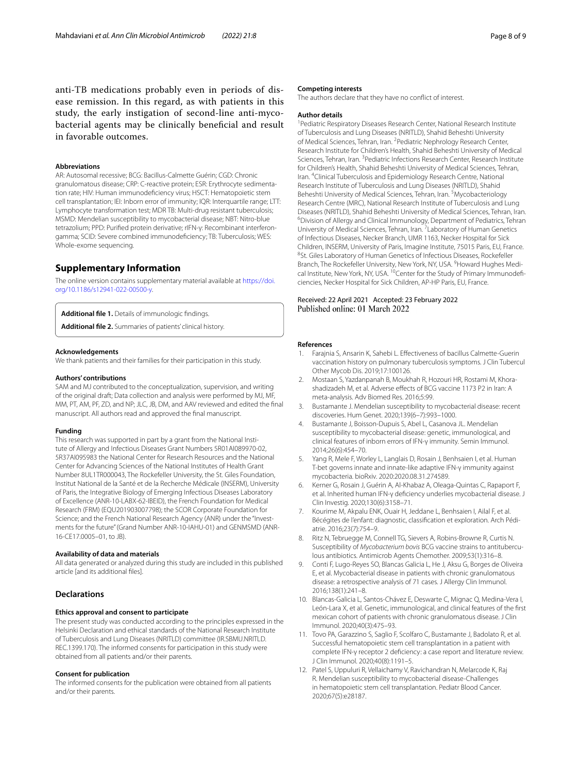anti-TB medications probably even in periods of disease remission. In this regard, as with patients in this study, the early instigation of second-line anti-mycobacterial agents may be clinically benefcial and result in favorable outcomes.

#### **Abbreviations**

AR: Autosomal recessive; BCG: Bacillus-Calmette Guérin; CGD: Chronic granulomatous disease; CRP: C-reactive protein; ESR: Erythrocyte sedimentation rate; HIV: Human immunodefciency virus; HSCT: Hematopoietic stem cell transplantation; IEI: Inborn error of immunity; IQR: Interquartile range; LTT: Lymphocyte transformation test; MDR TB: Multi-drug resistant tuberculosis; MSMD: Mendelian susceptibility to mycobacterial disease; NBT: Nitro-blue tetrazolium; PPD: Purifed protein derivative; rIFN-γ: Recombinant interferongamma; SCID: Severe combined immunodefciency; TB: Tuberculosis; WES: Whole-exome sequencing.

#### **Supplementary Information**

The online version contains supplementary material available at [https://doi.](https://doi.org/10.1186/s12941-022-00500-y) [org/10.1186/s12941-022-00500-y.](https://doi.org/10.1186/s12941-022-00500-y)

**Additional fle 1.** Details of immunologic fndings.

**Additional fle 2.** Summaries of patients' clinical history.

#### **Acknowledgements**

We thank patients and their families for their participation in this study.

#### **Authors' contributions**

SAM and MJ contributed to the conceptualization, supervision, and writing of the original draft; Data collection and analysis were performed by MJ, MF, MM, PT, AM, PF, ZD, and NP; JLC, JB, DM, and AAV reviewed and edited the fnal manuscript. All authors read and approved the fnal manuscript.

#### **Funding**

This research was supported in part by a grant from the National Institute of Allergy and Infectious Diseases Grant Numbers 5R01AI089970-02, 5R37AI095983 the National Center for Research Resources and the National Center for Advancing Sciences of the National Institutes of Health Grant Number 8UL1TR000043, The Rockefeller University, the St. Giles Foundation, Institut National de la Santé et de la Recherche Médicale (INSERM), University of Paris, the Integrative Biology of Emerging Infectious Diseases Laboratory of Excellence (ANR-10-LABX-62-IBEID), the French Foundation for Medical Research (FRM) (EQU201903007798); the SCOR Corporate Foundation for Science; and the French National Research Agency (ANR) under the "Investments for the future" (Grand Number ANR-10-IAHU-01) and GENMSMD (ANR-16-CE17.0005–01, to JB).

#### **Availability of data and materials**

All data generated or analyzed during this study are included in this published article [and its additional fles].

#### **Declarations**

#### **Ethics approval and consent to participate**

The present study was conducted according to the principles expressed in the Helsinki Declaration and ethical standards of the National Research Institute of Tuberculosis and Lung Diseases (NRITLD) committee (IR.SBMU.NRITLD. REC.1399.170). The informed consents for participation in this study were obtained from all patients and/or their parents.

#### **Consent for publication**

The informed consents for the publication were obtained from all patients and/or their parents.

#### **Competing interests**

The authors declare that they have no confict of interest.

#### **Author details**

<sup>1</sup> Pediatric Respiratory Diseases Research Center, National Research Institute of Tuberculosis and Lung Diseases (NRITLD), Shahid Beheshti University of Medical Sciences, Tehran, Iran. <sup>2</sup> Pediatric Nephrology Research Center, Research Institute for Children's Health, Shahid Beheshti University of Medical Sciences, Tehran, Iran. <sup>3</sup> Pediatric Infections Research Center, Research Institute for Children's Health, Shahid Beheshti University of Medical Sciences, Tehran, Iran. <sup>4</sup> Clinical Tuberculosis and Epidemiology Research Centre, National Research Institute of Tuberculosis and Lung Diseases (NRITLD), Shahid Beheshti University of Medical Sciences, Tehran, Iran. <sup>5</sup>Mycobacteriology Research Centre (MRC), National Research Institute of Tuberculosis and Lung Diseases (NRITLD), Shahid Beheshti University of Medical Sciences, Tehran, Iran. 6 <sup>6</sup> Division of Allergy and Clinical Immunology, Department of Pediatrics, Tehran University of Medical Sciences, Tehran, Iran. <sup>7</sup> Laboratory of Human Genetics of Infectious Diseases, Necker Branch, UMR 1163, Necker Hospital for Sick Children, INSERM, University of Paris, Imagine Institute, 75015 Paris, EU, France. 8 <sup>8</sup>St. Giles Laboratory of Human Genetics of Infectious Diseases, Rockefeller Branch, The Rockefeller University, New York, NY, USA. <sup>9</sup> Howard Hughes Medical Institute, New York, NY, USA. <sup>10</sup>Center for the Study of Primary Immunodeficiencies, Necker Hospital for Sick Children, AP‑HP Paris, EU, France.

## Received: 22 April 2021 Accepted: 23 February 2022

#### **References**

- <span id="page-7-0"></span>1. Farajnia S, Ansarin K, Sahebi L. Efectiveness of bacillus Calmette-Guerin vaccination history on pulmonary tuberculosis symptoms. J Clin Tubercul Other Mycob Dis. 2019;17:100126.
- <span id="page-7-1"></span>2. Mostaan S, Yazdanpanah B, Moukhah R, Hozouri HR, Rostami M, Khorashadizadeh M, et al. Adverse efects of BCG vaccine 1173 P2 in Iran: A meta-analysis. Adv Biomed Res. 2016;5:99.
- <span id="page-7-2"></span>3. Bustamante J. Mendelian susceptibility to mycobacterial disease: recent discoveries. Hum Genet. 2020;139(6–7):993–1000.
- <span id="page-7-8"></span>4. Bustamante J, Boisson-Dupuis S, Abel L, Casanova JL. Mendelian susceptibility to mycobacterial disease: genetic, immunological, and clinical features of inborn errors of IFN-γ immunity. Semin Immunol. 2014;26(6):454–70.
- 5. Yang R, Mele F, Worley L, Langlais D, Rosain J, Benhsaien I, et al. Human T-bet governs innate and innate-like adaptive IFN-γ immunity against mycobacteria. bioRxiv. 2020:2020.08.31.274589.
- <span id="page-7-3"></span>6. Kerner G, Rosain J, Guérin A, Al-Khabaz A, Oleaga-Quintas C, Rapaport F, et al. Inherited human IFN-γ defciency underlies mycobacterial disease. J Clin Investig. 2020;130(6):3158–71.
- <span id="page-7-4"></span>7. Kourime M, Akpalu ENK, Ouair H, Jeddane L, Benhsaien I, Ailal F, et al. Bécégites de l'enfant: diagnostic, classification et exploration. Arch Pédiatrie. 2016;23(7):754–9.
- <span id="page-7-5"></span>8. Ritz N, Tebruegge M, Connell TG, Sievers A, Robins-Browne R, Curtis N. Susceptibility of *Mycobacterium bovis* BCG vaccine strains to antituberculous antibiotics. Antimicrob Agents Chemother. 2009;53(1):316–8.
- <span id="page-7-6"></span>9. Conti F, Lugo-Reyes SO, Blancas Galicia L, He J, Aksu G, Borges de Oliveira E, et al. Mycobacterial disease in patients with chronic granulomatous disease: a retrospective analysis of 71 cases. J Allergy Clin Immunol. 2016;138(1):241–8.
- <span id="page-7-7"></span>10. Blancas-Galicia L, Santos-Chávez E, Deswarte C, Mignac Q, Medina-Vera I, León-Lara X, et al. Genetic, immunological, and clinical features of the frst mexican cohort of patients with chronic granulomatous disease. J Clin Immunol. 2020;40(3):475–93.
- <span id="page-7-9"></span>11. Tovo PA, Garazzino S, Saglio F, Scolfaro C, Bustamante J, Badolato R, et al. Successful hematopoietic stem cell transplantation in a patient with complete IFN-γ receptor 2 defciency: a case report and literature review. J Clin Immunol. 2020;40(8):1191–5.
- <span id="page-7-10"></span>12. Patel S, Uppuluri R, Vellaichamy V, Ravichandran N, Melarcode K, Raj R. Mendelian susceptibility to mycobacterial disease-Challenges in hematopoietic stem cell transplantation. Pediatr Blood Cancer. 2020;67(5):e28187.